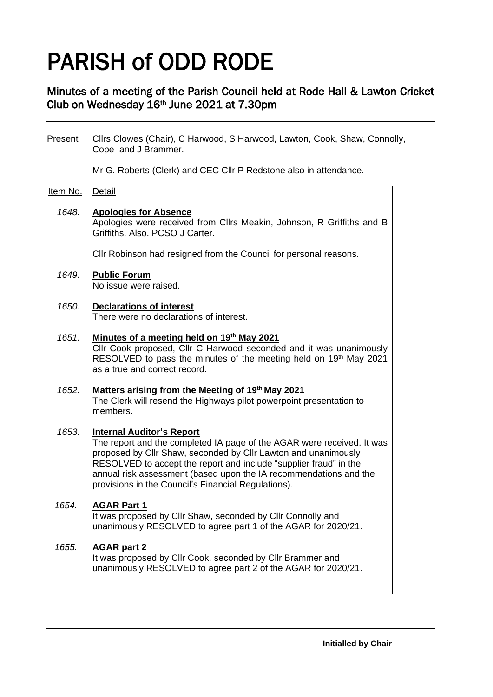# PARISH of ODD RODE

## Minutes of a meeting of the Parish Council held at Rode Hall & Lawton Cricket Club on Wednesday 16th June 2021 at 7.30pm

Present Cllrs Clowes (Chair), C Harwood, S Harwood, Lawton, Cook, Shaw, Connolly, Cope and J Brammer.

Mr G. Roberts (Clerk) and CEC Cllr P Redstone also in attendance.

## Item No. Detail

#### *1648.* **Apologies for Absence**

Apologies were received from Cllrs Meakin, Johnson, R Griffiths and B Griffiths. Also. PCSO J Carter.

Cllr Robinson had resigned from the Council for personal reasons.

#### *1649.* **Public Forum** No issue were raised.

#### *1650.* **Declarations of interest** There were no declarations of interest.

## *1651.* **Minutes of a meeting held on 19 th May 2021**

Cllr Cook proposed, Cllr C Harwood seconded and it was unanimously RESOLVED to pass the minutes of the meeting held on 19th May 2021 as a true and correct record.

#### *1652.* **Matters arising from the Meeting of 19th May 2021**

The Clerk will resend the Highways pilot powerpoint presentation to members.

#### *1653.* **Internal Auditor's Report**

The report and the completed IA page of the AGAR were received. It was proposed by Cllr Shaw, seconded by Cllr Lawton and unanimously RESOLVED to accept the report and include "supplier fraud" in the annual risk assessment (based upon the IA recommendations and the provisions in the Council's Financial Regulations).

#### *1654.* **AGAR Part 1**

It was proposed by Cllr Shaw, seconded by Cllr Connolly and unanimously RESOLVED to agree part 1 of the AGAR for 2020/21.

#### *1655.* **AGAR part 2**

It was proposed by Cllr Cook, seconded by Cllr Brammer and unanimously RESOLVED to agree part 2 of the AGAR for 2020/21.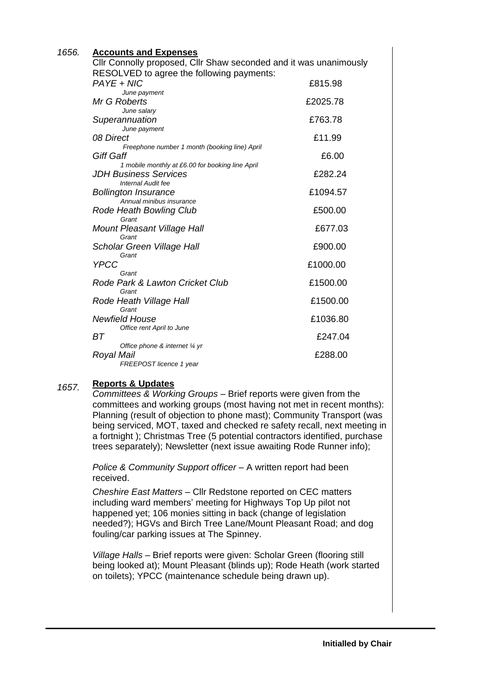| <u><b>Accounts and Expenses</b></u>                               |          |
|-------------------------------------------------------------------|----------|
| Cllr Connolly proposed, Cllr Shaw seconded and it was unanimously |          |
| RESOLVED to agree the following payments:                         |          |
| PAYE + NIC                                                        | £815.98  |
| June payment                                                      |          |
| Mr G Roberts                                                      | £2025.78 |
| June salary                                                       |          |
| Superannuation                                                    | £763.78  |
| June payment<br>08 Direct                                         | £11.99   |
| Freephone number 1 month (booking line) April                     |          |
| Giff Gaff                                                         | £6.00    |
| 1 mobile monthly at £6.00 for booking line April                  |          |
| <b>JDH Business Services</b>                                      | £282.24  |
| Internal Audit fee                                                |          |
| <b>Bollington Insurance</b>                                       | £1094.57 |
| Annual minibus insurance                                          | £500.00  |
| Rode Heath Bowling Club<br>Grant                                  |          |
| Mount Pleasant Village Hall                                       | £677.03  |
| Grant                                                             |          |
| Scholar Green Village Hall                                        | £900.00  |
| Grant                                                             |          |
| <b>YPCC</b>                                                       | £1000.00 |
| Grant                                                             |          |
| Rode Park & Lawton Cricket Club<br>Grant                          | £1500.00 |
| Rode Heath Village Hall                                           | £1500.00 |
| Grant                                                             |          |
| <b>Newfield House</b>                                             | £1036.80 |
| Office rent April to June                                         |          |
| ВT                                                                | £247.04  |
| Office phone & internet 1/4 yr                                    |          |
| Royal Mail<br>FREEPOST licence 1 year                             | £288.00  |
|                                                                   |          |

#### *1657.* **Reports & Updates**

 *1656.*

*Committees & Working Groups –* Brief reports were given from the committees and working groups (most having not met in recent months): Planning (result of objection to phone mast); Community Transport (was being serviced, MOT, taxed and checked re safety recall, next meeting in a fortnight ); Christmas Tree (5 potential contractors identified, purchase trees separately); Newsletter (next issue awaiting Rode Runner info);

*Police & Community Support officer –* A written report had been received.

*Cheshire East Matters –* Cllr Redstone reported on CEC matters including ward members' meeting for Highways Top Up pilot not happened yet; 106 monies sitting in back (change of legislation needed?); HGVs and Birch Tree Lane/Mount Pleasant Road; and dog fouling/car parking issues at The Spinney.

*Village Halls –* Brief reports were given: Scholar Green (flooring still being looked at); Mount Pleasant (blinds up); Rode Heath (work started on toilets); YPCC (maintenance schedule being drawn up).